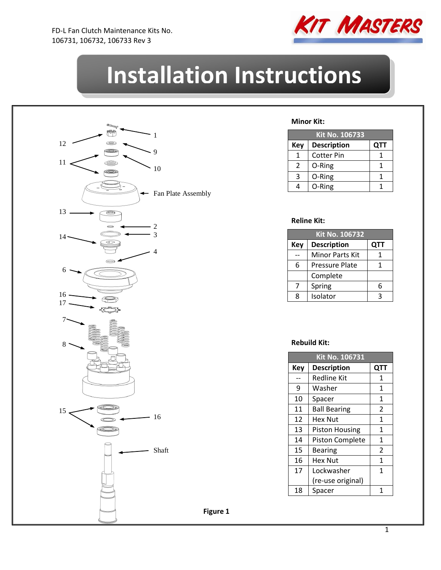

# **Installation Instructions**



#### **Minor Kit:**

| <b>Kit No. 106733</b> |                    |            |  |
|-----------------------|--------------------|------------|--|
| Key                   | <b>Description</b> | <b>QTT</b> |  |
| 1                     | <b>Cotter Pin</b>  |            |  |
| 2                     | O-Ring             |            |  |
| 3                     | O-Ring             |            |  |
|                       | O-Ring             |            |  |

#### **Reline Kit:**

| Kit No. 106732 |                       |     |  |
|----------------|-----------------------|-----|--|
| <b>Key</b>     | <b>Description</b>    | QTT |  |
|                | Minor Parts Kit       |     |  |
| 6              | <b>Pressure Plate</b> |     |  |
|                | Complete              |     |  |
| 7              | Spring                | հ   |  |
| ጸ              | Isolator              |     |  |

#### **Rebuild Kit:**

| Kit No. 106731 |                        |                |  |
|----------------|------------------------|----------------|--|
| Key            | <b>Description</b>     | QTT            |  |
|                | <b>Redline Kit</b>     | 1              |  |
| 9              | Washer                 | 1              |  |
| 10             | Spacer                 | 1              |  |
| 11             | <b>Ball Bearing</b>    | 2              |  |
| 12             | Hex Nut                | 1              |  |
| 13             | <b>Piston Housing</b>  | 1              |  |
| 14             | <b>Piston Complete</b> | 1              |  |
| 15             | Bearing                | $\overline{2}$ |  |
| 16             | Hex Nut                | 1              |  |
| 17             | Lockwasher             | 1              |  |
|                | (re-use original)      |                |  |
| 18             | Spacer                 | 1              |  |

**Figure 1**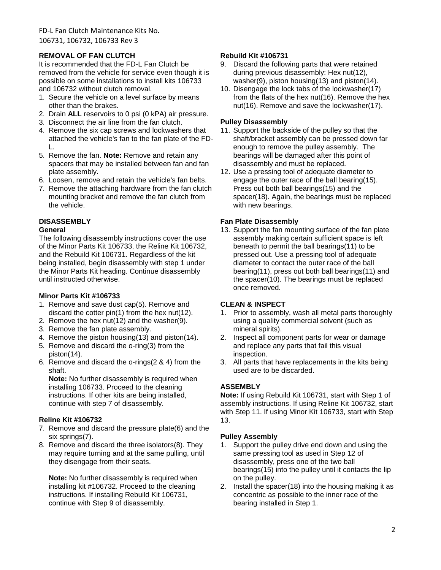# **REMOVAL OF FAN CLUTCH**

It is recommended that the FD-L Fan Clutch be removed from the vehicle for service even though it is possible on some installations to install kits 106733 and 106732 without clutch removal.

- 1. Secure the vehicle on a level surface by means other than the brakes.
- 2. Drain **ALL** reservoirs to 0 psi (0 kPA) air pressure.
- 3. Disconnect the air line from the fan clutch.
- 4. Remove the six cap screws and lockwashers that attached the vehicle's fan to the fan plate of the FD-L.
- 5. Remove the fan. **Note:** Remove and retain any spacers that may be installed between fan and fan plate assembly.
- 6. Loosen, remove and retain the vehicle's fan belts.
- 7. Remove the attaching hardware from the fan clutch mounting bracket and remove the fan clutch from the vehicle.

# **DISASSEMBLY**

# **General**

The following disassembly instructions cover the use of the Minor Parts Kit 106733, the Reline Kit 106732, and the Rebuild Kit 106731. Regardless of the kit being installed, begin disassembly with step 1 under the Minor Parts Kit heading. Continue disassembly until instructed otherwise.

# **Minor Parts Kit #106733**

- 1. Remove and save dust cap(5). Remove and discard the cotter pin(1) from the hex nut(12).
- 2. Remove the hex nut(12) and the washer(9).
- 3. Remove the fan plate assembly.
- 4. Remove the piston housing(13) and piston(14).
- 5. Remove and discard the o-ring(3) from the piston(14).
- 6. Remove and discard the o-rings(2 & 4) from the shaft.

**Note:** No further disassembly is required when installing 106733. Proceed to the cleaning instructions. If other kits are being installed, continue with step 7 of disassembly.

# **Reline Kit #106732**

- 7. Remove and discard the pressure plate(6) and the six springs(7).
- 8. Remove and discard the three isolators(8). They may require turning and at the same pulling, until they disengage from their seats.

**Note:** No further disassembly is required when installing kit #106732. Proceed to the cleaning instructions. If installing Rebuild Kit 106731, continue with Step 9 of disassembly.

# **Rebuild Kit #106731**

- 9. Discard the following parts that were retained during previous disassembly: Hex nut(12), washer(9), piston housing(13) and piston(14).
- 10. Disengage the lock tabs of the lockwasher(17) from the flats of the hex nut(16). Remove the hex nut(16). Remove and save the lockwasher(17).

#### **Pulley Disassembly**

- 11. Support the backside of the pulley so that the shaft/bracket assembly can be pressed down far enough to remove the pulley assembly. The bearings will be damaged after this point of disassembly and must be replaced.
- 12. Use a pressing tool of adequate diameter to engage the outer race of the ball bearing(15). Press out both ball bearings(15) and the spacer(18). Again, the bearings must be replaced with new bearings.

# **Fan Plate Disassembly**

13. Support the fan mounting surface of the fan plate assembly making certain sufficient space is left beneath to permit the ball bearings(11) to be pressed out. Use a pressing tool of adequate diameter to contact the outer race of the ball bearing(11), press out both ball bearings(11) and the spacer(10). The bearings must be replaced once removed.

# **CLEAN & INSPECT**

- 1. Prior to assembly, wash all metal parts thoroughly using a quality commercial solvent (such as mineral spirits).
- 2. Inspect all component parts for wear or damage and replace any parts that fail this visual inspection.
- 3. All parts that have replacements in the kits being used are to be discarded.

# **ASSEMBLY**

**Note:** If using Rebuild Kit 106731, start with Step 1 of assembly instructions. If using Reline Kit 106732, start with Step 11. If using Minor Kit 106733, start with Step 13.

# **Pulley Assembly**

- 1. Support the pulley drive end down and using the same pressing tool as used in Step 12 of disassembly, press one of the two ball bearings(15) into the pulley until it contacts the lip on the pulley.
- 2. Install the spacer(18) into the housing making it as concentric as possible to the inner race of the bearing installed in Step 1.